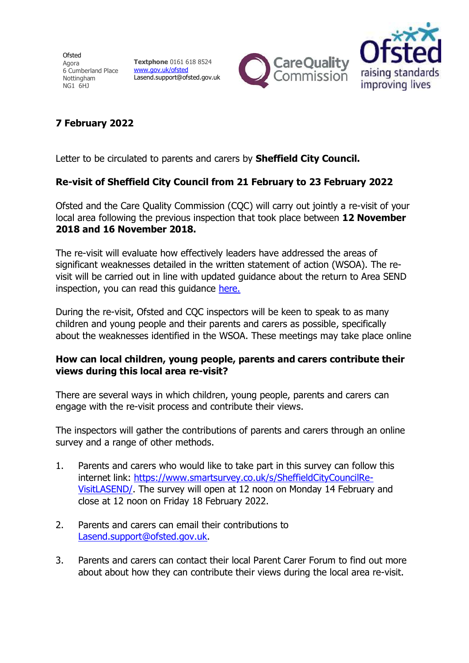Ofsted Agora 6 Cumberland Place Nottingham NG1 6HJ

**Textphone** 0161 618 8524 [www.gov.uk/ofsted](https://www.gov.uk/government/organisations/ofsted) Lasend.support@ofsted.gov.uk





## **7 February 2022**

Letter to be circulated to parents and carers by **Sheffield City Council.**

## **Re-visit of Sheffield City Council from 21 February to 23 February 2022**

Ofsted and the Care Quality Commission (CQC) will carry out jointly a re-visit of your local area following the previous inspection that took place between **12 November 2018 and 16 November 2018.**

The re-visit will evaluate how effectively leaders have addressed the areas of significant weaknesses detailed in the written statement of action (WSOA). The revisit will be carried out in line with updated guidance about the return to Area SEND inspection, you can read this guidance [here.](https://www.gov.uk/government/publications/local-area-send-inspection-guidance-for-inspectors)

During the re-visit, Ofsted and CQC inspectors will be keen to speak to as many children and young people and their parents and carers as possible, specifically about the weaknesses identified in the WSOA. These meetings may take place online

## **How can local children, young people, parents and carers contribute their views during this local area re-visit?**

There are several ways in which children, young people, parents and carers can engage with the re-visit process and contribute their views.

The inspectors will gather the contributions of parents and carers through an online survey and a range of other methods.

- 1. Parents and carers who would like to take part in this survey can follow this internet link: [https://www.smartsurvey.co.uk/s/SheffieldCityCouncilRe-](https://www.smartsurvey.co.uk/s/SheffieldCityCouncilRe-VisitLASEND/)[VisitLASEND/.](https://www.smartsurvey.co.uk/s/SheffieldCityCouncilRe-VisitLASEND/) The survey will open at 12 noon on Monday 14 February and close at 12 noon on Friday 18 February 2022.
- 2. Parents and carers can email their contributions to [Lasend.support@ofsted.gov.uk.](mailto:Lasend.support@ofsted.gov.uk)
- 3. Parents and carers can contact their local Parent Carer Forum to find out more about about how they can contribute their views during the local area re-visit.